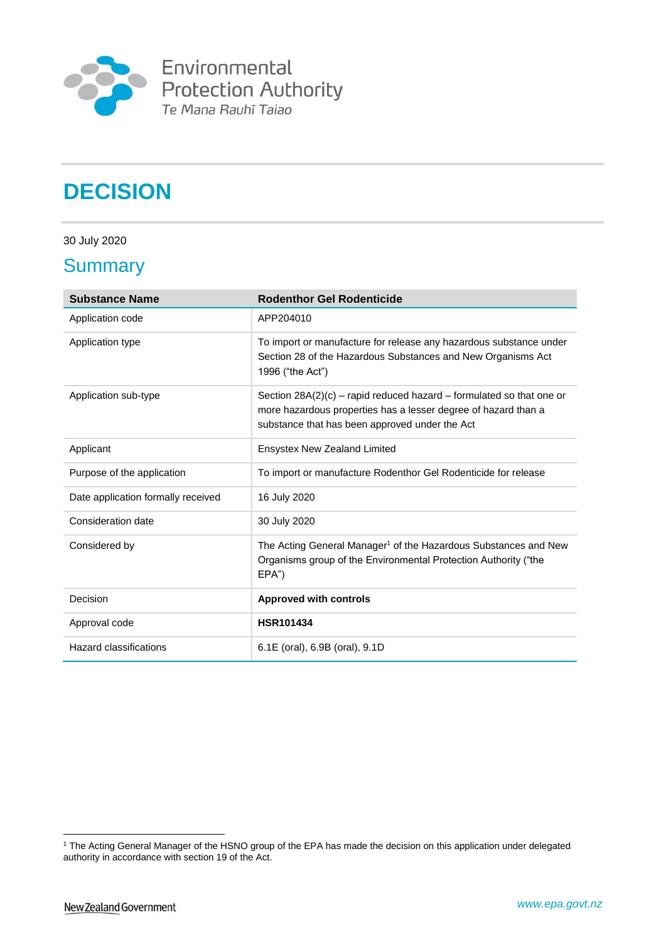

**Environmental**<br>Protection Authority<br>Te Mana Rauhī Taiao

# **DECISION**

30 July 2020

### **Summary**

| <b>Substance Name</b>              | <b>Rodenthor Gel Rodenticide</b>                                                                                                                                                           |
|------------------------------------|--------------------------------------------------------------------------------------------------------------------------------------------------------------------------------------------|
| Application code                   | APP204010                                                                                                                                                                                  |
| Application type                   | To import or manufacture for release any hazardous substance under<br>Section 28 of the Hazardous Substances and New Organisms Act<br>1996 ("the Act")                                     |
| Application sub-type               | Section $28A(2)(c)$ – rapid reduced hazard – formulated so that one or<br>more hazardous properties has a lesser degree of hazard than a<br>substance that has been approved under the Act |
| Applicant                          | Ensystex New Zealand Limited                                                                                                                                                               |
| Purpose of the application         | To import or manufacture Rodenthor Gel Rodenticide for release                                                                                                                             |
| Date application formally received | 16 July 2020                                                                                                                                                                               |
| Consideration date                 | 30 July 2020                                                                                                                                                                               |
| Considered by                      | The Acting General Manager <sup>1</sup> of the Hazardous Substances and New<br>Organisms group of the Environmental Protection Authority ("the<br>$EPA$ ")                                 |
| Decision                           | <b>Approved with controls</b>                                                                                                                                                              |
| Approval code                      | <b>HSR101434</b>                                                                                                                                                                           |
| Hazard classifications             | 6.1E (oral), 6.9B (oral), 9.1D                                                                                                                                                             |

<u>.</u>

<sup>1</sup> The Acting General Manager of the HSNO group of the EPA has made the decision on this application under delegated authority in accordance with section 19 of the Act.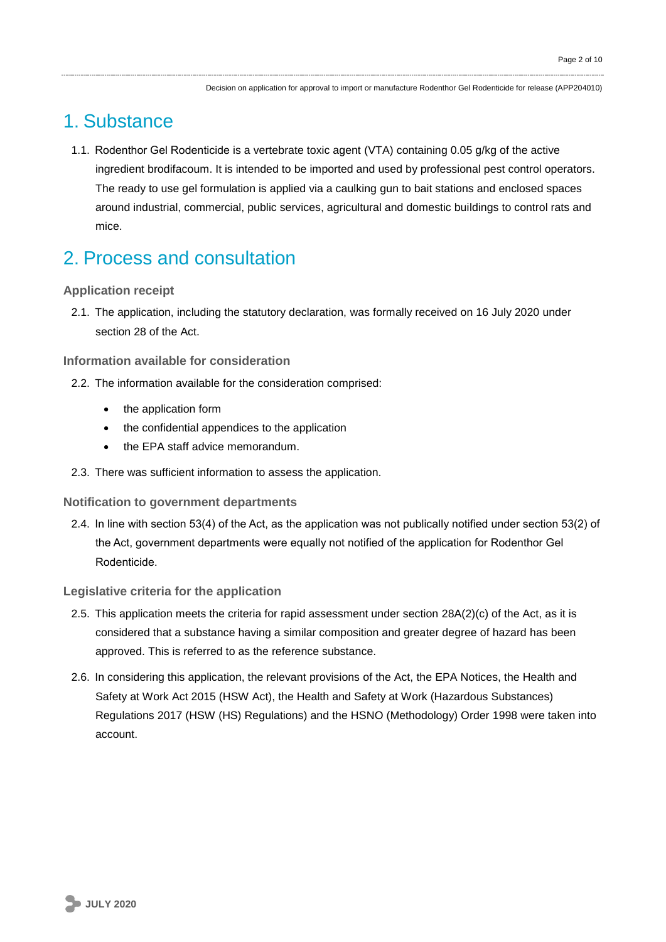## 1. Substance

1.1. Rodenthor Gel Rodenticide is a vertebrate toxic agent (VTA) containing 0.05 g/kg of the active ingredient brodifacoum. It is intended to be imported and used by professional pest control operators. The ready to use gel formulation is applied via a caulking gun to bait stations and enclosed spaces around industrial, commercial, public services, agricultural and domestic buildings to control rats and mice.

# 2. Process and consultation

### **Application receipt**

2.1. The application, including the statutory declaration, was formally received on 16 July 2020 under section 28 of the Act.

### **Information available for consideration**

- 2.2. The information available for the consideration comprised:
	- the application form
	- the confidential appendices to the application
	- the EPA staff advice memorandum.
- 2.3. There was sufficient information to assess the application.

### **Notification to government departments**

2.4. In line with section 53(4) of the Act, as the application was not publically notified under section 53(2) of the Act, government departments were equally not notified of the application for Rodenthor Gel Rodenticide.

### **Legislative criteria for the application**

- 2.5. This application meets the criteria for rapid assessment under section 28A(2)(c) of the Act, as it is considered that a substance having a similar composition and greater degree of hazard has been approved. This is referred to as the reference substance.
- 2.6. In considering this application, the relevant provisions of the Act, the EPA Notices, the Health and Safety at Work Act 2015 (HSW Act), the Health and Safety at Work (Hazardous Substances) Regulations 2017 (HSW (HS) Regulations) and the HSNO (Methodology) Order 1998 were taken into account.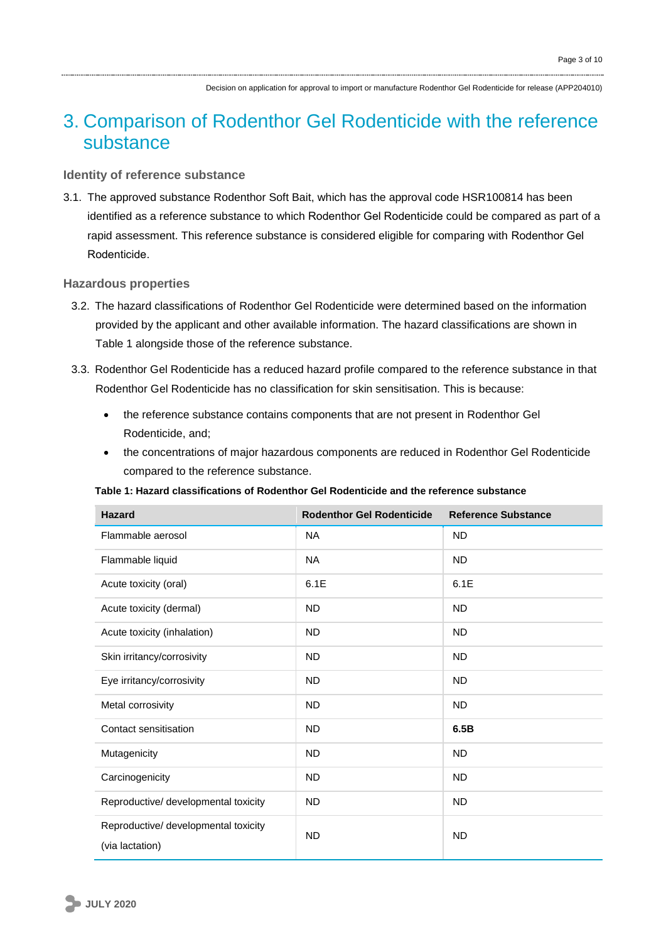# 3. Comparison of Rodenthor Gel Rodenticide with the reference substance

### **Identity of reference substance**

3.1. The approved substance Rodenthor Soft Bait, which has the approval code HSR100814 has been identified as a reference substance to which Rodenthor Gel Rodenticide could be compared as part of a rapid assessment. This reference substance is considered eligible for comparing with Rodenthor Gel Rodenticide.

#### **Hazardous properties**

- 3.2. The hazard classifications of Rodenthor Gel Rodenticide were determined based on the information provided by the applicant and other available information. The hazard classifications are shown in Table 1 alongside those of the reference substance.
- 3.3. Rodenthor Gel Rodenticide has a reduced hazard profile compared to the reference substance in that Rodenthor Gel Rodenticide has no classification for skin sensitisation. This is because:
	- the reference substance contains components that are not present in Rodenthor Gel Rodenticide, and;
	- the concentrations of major hazardous components are reduced in Rodenthor Gel Rodenticide compared to the reference substance.

#### **Table 1: Hazard classifications of Rodenthor Gel Rodenticide and the reference substance**

| <b>Hazard</b>                                           | <b>Rodenthor Gel Rodenticide</b> | <b>Reference Substance</b> |
|---------------------------------------------------------|----------------------------------|----------------------------|
| Flammable aerosol                                       | <b>NA</b>                        | <b>ND</b>                  |
| Flammable liquid                                        | <b>NA</b>                        | <b>ND</b>                  |
| Acute toxicity (oral)                                   | 6.1E                             | 6.1E                       |
| Acute toxicity (dermal)                                 | <b>ND</b>                        | <b>ND</b>                  |
| Acute toxicity (inhalation)                             | <b>ND</b>                        | <b>ND</b>                  |
| Skin irritancy/corrosivity                              | <b>ND</b>                        | <b>ND</b>                  |
| Eye irritancy/corrosivity                               | <b>ND</b>                        | <b>ND</b>                  |
| Metal corrosivity                                       | <b>ND</b>                        | <b>ND</b>                  |
| Contact sensitisation                                   | <b>ND</b>                        | 6.5B                       |
| Mutagenicity                                            | <b>ND</b>                        | <b>ND</b>                  |
| Carcinogenicity                                         | <b>ND</b>                        | <b>ND</b>                  |
| Reproductive/ developmental toxicity                    | <b>ND</b>                        | <b>ND</b>                  |
| Reproductive/ developmental toxicity<br>(via lactation) | <b>ND</b>                        | <b>ND</b>                  |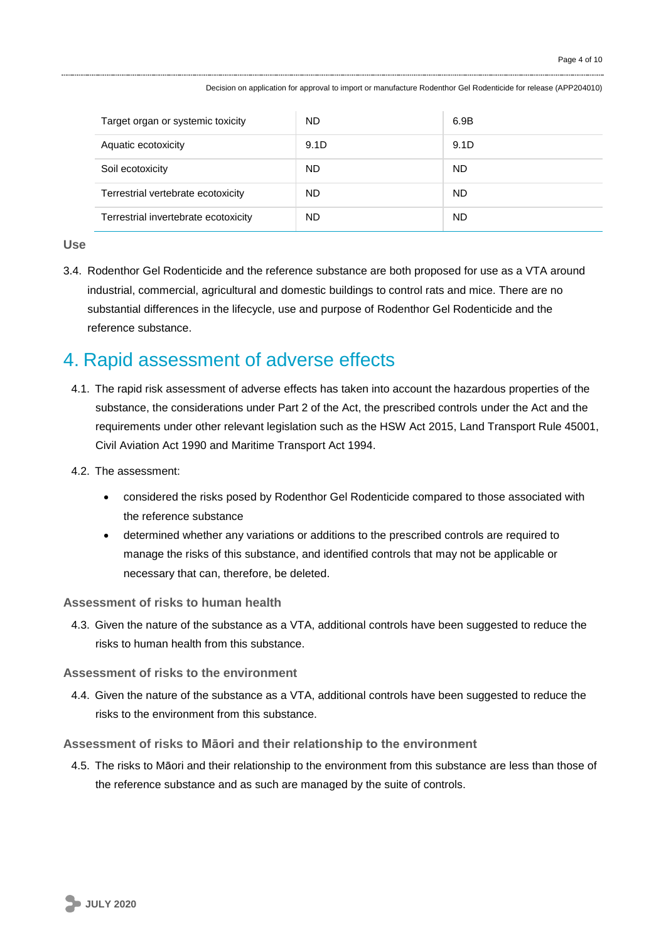| Target organ or systemic toxicity    | ND   | 6.9B |
|--------------------------------------|------|------|
| Aquatic ecotoxicity                  | 9.1D | 9.1D |
| Soil ecotoxicity                     | ND   | ND.  |
| Terrestrial vertebrate ecotoxicity   | ND   | ND.  |
| Terrestrial invertebrate ecotoxicity | ND   | ND   |

**Use**

3.4. Rodenthor Gel Rodenticide and the reference substance are both proposed for use as a VTA around industrial, commercial, agricultural and domestic buildings to control rats and mice. There are no substantial differences in the lifecycle, use and purpose of Rodenthor Gel Rodenticide and the reference substance.

## 4. Rapid assessment of adverse effects

- 4.1. The rapid risk assessment of adverse effects has taken into account the hazardous properties of the substance, the considerations under Part 2 of the Act, the prescribed controls under the Act and the requirements under other relevant legislation such as the HSW Act 2015, Land Transport Rule 45001, Civil Aviation Act 1990 and Maritime Transport Act 1994.
- 4.2. The assessment:
	- considered the risks posed by Rodenthor Gel Rodenticide compared to those associated with the reference substance
	- determined whether any variations or additions to the prescribed controls are required to manage the risks of this substance, and identified controls that may not be applicable or necessary that can, therefore, be deleted.

### **Assessment of risks to human health**

4.3. Given the nature of the substance as a VTA, additional controls have been suggested to reduce the risks to human health from this substance.

### **Assessment of risks to the environment**

4.4. Given the nature of the substance as a VTA, additional controls have been suggested to reduce the risks to the environment from this substance.

### **Assessment of risks to Māori and their relationship to the environment**

4.5. The risks to Māori and their relationship to the environment from this substance are less than those of the reference substance and as such are managed by the suite of controls.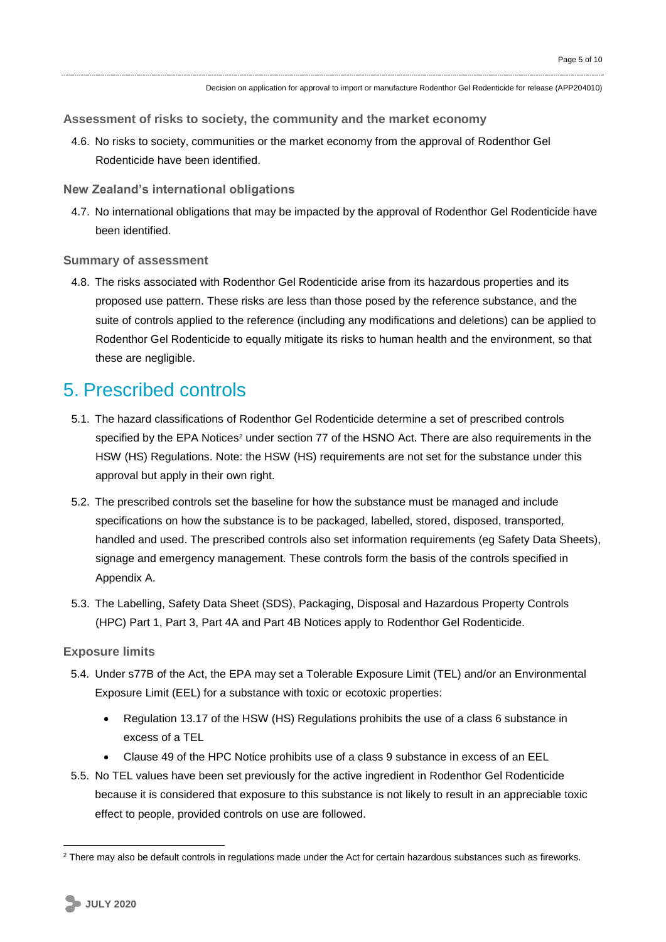**Assessment of risks to society, the community and the market economy**

- 4.6. No risks to society, communities or the market economy from the approval of Rodenthor Gel Rodenticide have been identified.
- **New Zealand's international obligations**
- 4.7. No international obligations that may be impacted by the approval of Rodenthor Gel Rodenticide have been identified.

#### **Summary of assessment**

4.8. The risks associated with Rodenthor Gel Rodenticide arise from its hazardous properties and its proposed use pattern. These risks are less than those posed by the reference substance, and the suite of controls applied to the reference (including any modifications and deletions) can be applied to Rodenthor Gel Rodenticide to equally mitigate its risks to human health and the environment, so that these are negligible.

### 5. Prescribed controls

- 5.1. The hazard classifications of Rodenthor Gel Rodenticide determine a set of prescribed controls specified by the EPA Notices<sup>2</sup> under section 77 of the HSNO Act. There are also requirements in the HSW (HS) Regulations. Note: the HSW (HS) requirements are not set for the substance under this approval but apply in their own right.
- 5.2. The prescribed controls set the baseline for how the substance must be managed and include specifications on how the substance is to be packaged, labelled, stored, disposed, transported, handled and used. The prescribed controls also set information requirements (eg Safety Data Sheets), signage and emergency management. These controls form the basis of the controls specified in Appendix A.
- 5.3. The Labelling, Safety Data Sheet (SDS), Packaging, Disposal and Hazardous Property Controls (HPC) Part 1, Part 3, Part 4A and Part 4B Notices apply to Rodenthor Gel Rodenticide.

#### **Exposure limits**

- 5.4. Under s77B of the Act, the EPA may set a Tolerable Exposure Limit (TEL) and/or an Environmental Exposure Limit (EEL) for a substance with toxic or ecotoxic properties:
	- Regulation 13.17 of the HSW (HS) Regulations prohibits the use of a class 6 substance in excess of a TEL
	- Clause 49 of the HPC Notice prohibits use of a class 9 substance in excess of an EEL
- 5.5. No TEL values have been set previously for the active ingredient in Rodenthor Gel Rodenticide because it is considered that exposure to this substance is not likely to result in an appreciable toxic effect to people, provided controls on use are followed.

1

<sup>&</sup>lt;sup>2</sup> There may also be default controls in regulations made under the Act for certain hazardous substances such as fireworks.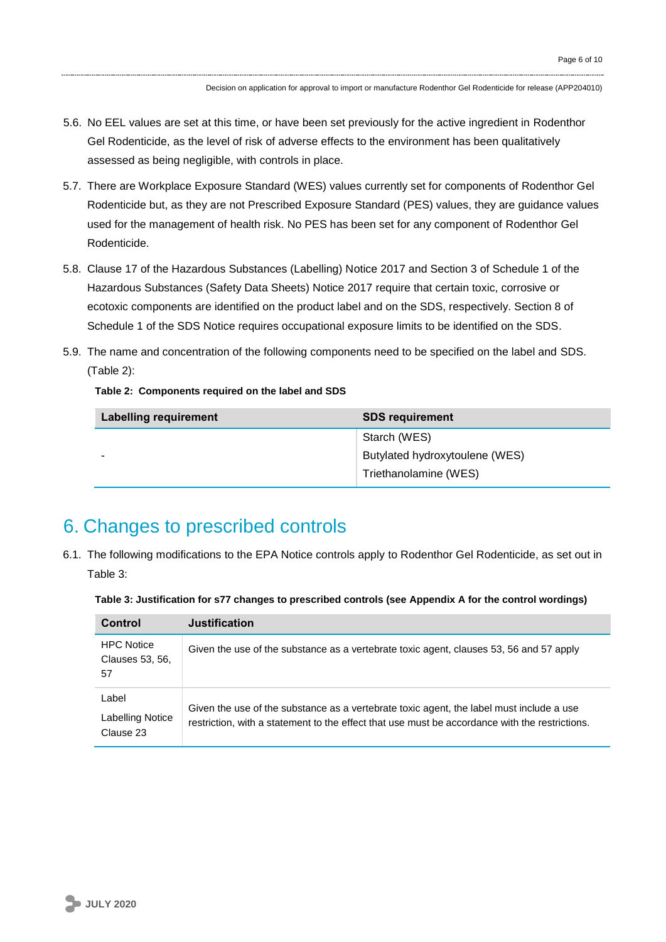- 5.6. No EEL values are set at this time, or have been set previously for the active ingredient in Rodenthor Gel Rodenticide, as the level of risk of adverse effects to the environment has been qualitatively assessed as being negligible, with controls in place.
- 5.7. There are Workplace Exposure Standard (WES) values currently set for components of Rodenthor Gel Rodenticide but, as they are not Prescribed Exposure Standard (PES) values, they are guidance values used for the management of health risk. No PES has been set for any component of Rodenthor Gel Rodenticide.
- 5.8. Clause 17 of the Hazardous Substances (Labelling) Notice 2017 and Section 3 of Schedule 1 of the Hazardous Substances (Safety Data Sheets) Notice 2017 require that certain toxic, corrosive or ecotoxic components are identified on the product label and on the SDS, respectively. Section 8 of Schedule 1 of the SDS Notice requires occupational exposure limits to be identified on the SDS.
- 5.9. The name and concentration of the following components need to be specified on the label and SDS. (Table 2):

**Table 2: Components required on the label and SDS**

| <b>Labelling requirement</b> | <b>SDS requirement</b>         |
|------------------------------|--------------------------------|
|                              | Starch (WES)                   |
| -                            | Butylated hydroxytoulene (WES) |
|                              | Triethanolamine (WES)          |

# 6. Changes to prescribed controls

6.1. The following modifications to the EPA Notice controls apply to Rodenthor Gel Rodenticide, as set out in Table 3:

| Control                                    | <b>Justification</b>                                                                                                                                                                       |
|--------------------------------------------|--------------------------------------------------------------------------------------------------------------------------------------------------------------------------------------------|
| <b>HPC Notice</b><br>Clauses 53, 56,<br>57 | Given the use of the substance as a vertebrate toxic agent, clauses 53, 56 and 57 apply                                                                                                    |
| Label<br>Labelling Notice<br>Clause 23     | Given the use of the substance as a vertebrate toxic agent, the label must include a use<br>restriction, with a statement to the effect that use must be accordance with the restrictions. |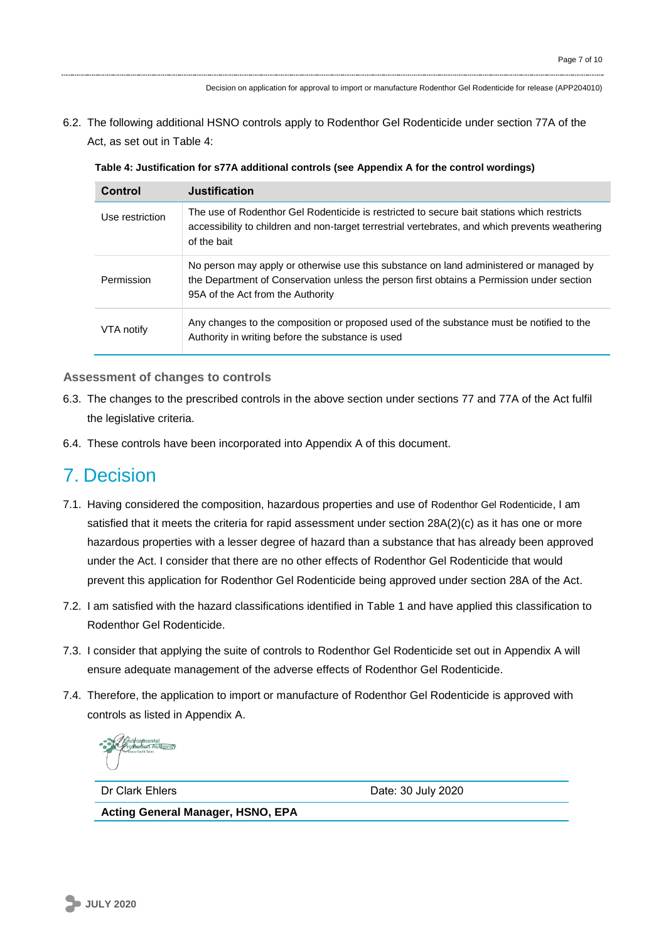6.2. The following additional HSNO controls apply to Rodenthor Gel Rodenticide under section 77A of the Act, as set out in Table 4:

| Table 4: Justification for s77A additional controls (see Appendix A for the control wordings) |  |
|-----------------------------------------------------------------------------------------------|--|
|-----------------------------------------------------------------------------------------------|--|

| Control         | <b>Justification</b>                                                                                                                                                                                                     |
|-----------------|--------------------------------------------------------------------------------------------------------------------------------------------------------------------------------------------------------------------------|
| Use restriction | The use of Rodenthor Gel Rodenticide is restricted to secure bait stations which restricts<br>accessibility to children and non-target terrestrial vertebrates, and which prevents weathering<br>of the bait             |
| Permission      | No person may apply or otherwise use this substance on land administered or managed by<br>the Department of Conservation unless the person first obtains a Permission under section<br>95A of the Act from the Authority |
| VTA notify      | Any changes to the composition or proposed used of the substance must be notified to the<br>Authority in writing before the substance is used                                                                            |

#### **Assessment of changes to controls**

- 6.3. The changes to the prescribed controls in the above section under sections 77 and 77A of the Act fulfil the legislative criteria.
- 6.4. These controls have been incorporated into Appendix A of this document.

### 7. Decision

- 7.1. Having considered the composition, hazardous properties and use of Rodenthor Gel Rodenticide, I am satisfied that it meets the criteria for rapid assessment under section 28A(2)(c) as it has one or more hazardous properties with a lesser degree of hazard than a substance that has already been approved under the Act. I consider that there are no other effects of Rodenthor Gel Rodenticide that would prevent this application for Rodenthor Gel Rodenticide being approved under section 28A of the Act.
- 7.2. I am satisfied with the hazard classifications identified in Table 1 and have applied this classification to Rodenthor Gel Rodenticide.
- 7.3. I consider that applying the suite of controls to Rodenthor Gel Rodenticide set out in Appendix A will ensure adequate management of the adverse effects of Rodenthor Gel Rodenticide.
- 7.4. Therefore, the application to import or manufacture of Rodenthor Gel Rodenticide is approved with controls as listed in Appendix A.

Dr Clark Ehlers **Date: 30 July 2020** 

**Acting General Manager, HSNO, EPA**

**JULY 2020**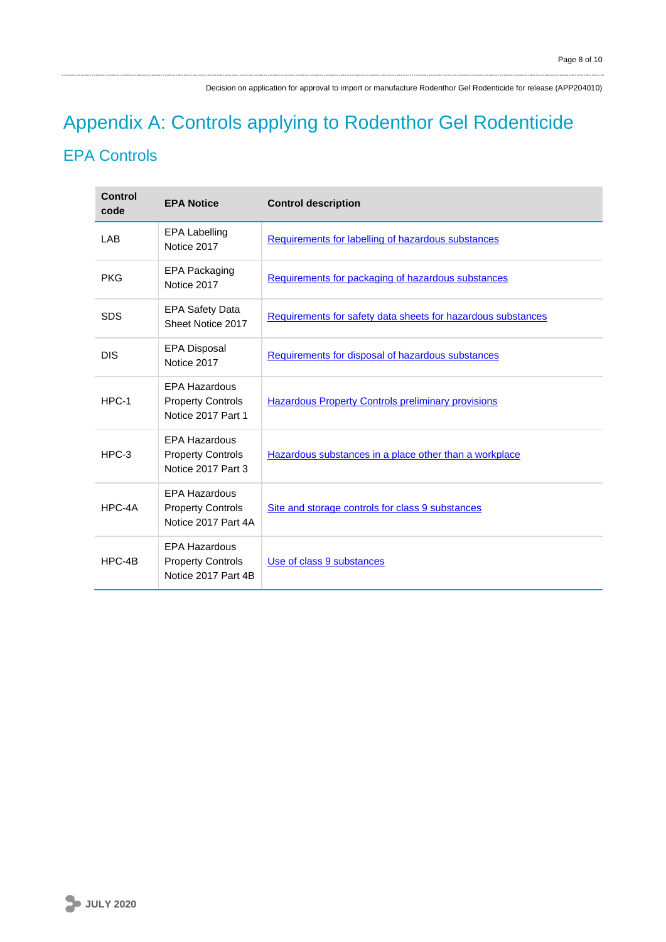# Appendix A: Controls applying to Rodenthor Gel Rodenticide EPA Controls

| Control<br>code | <b>EPA Notice</b>                                                       | <b>Control description</b>                                   |
|-----------------|-------------------------------------------------------------------------|--------------------------------------------------------------|
| LAB             | <b>EPA Labelling</b><br>Notice 2017                                     | Requirements for labelling of hazardous substances           |
| <b>PKG</b>      | <b>EPA Packaging</b><br>Notice 2017                                     | Requirements for packaging of hazardous substances           |
| <b>SDS</b>      | <b>EPA Safety Data</b><br>Sheet Notice 2017                             | Requirements for safety data sheets for hazardous substances |
| <b>DIS</b>      | <b>EPA Disposal</b><br>Notice 2017                                      | Requirements for disposal of hazardous substances            |
| $HPC-1$         | <b>EPA Hazardous</b><br><b>Property Controls</b><br>Notice 2017 Part 1  | <b>Hazardous Property Controls preliminary provisions</b>    |
| $HPC-3$         | <b>EPA Hazardous</b><br><b>Property Controls</b><br>Notice 2017 Part 3  | Hazardous substances in a place other than a workplace       |
| HPC-4A          | <b>EPA Hazardous</b><br><b>Property Controls</b><br>Notice 2017 Part 4A | Site and storage controls for class 9 substances             |
| $HPC-4B$        | <b>EPA Hazardous</b><br><b>Property Controls</b><br>Notice 2017 Part 4B | Use of class 9 substances                                    |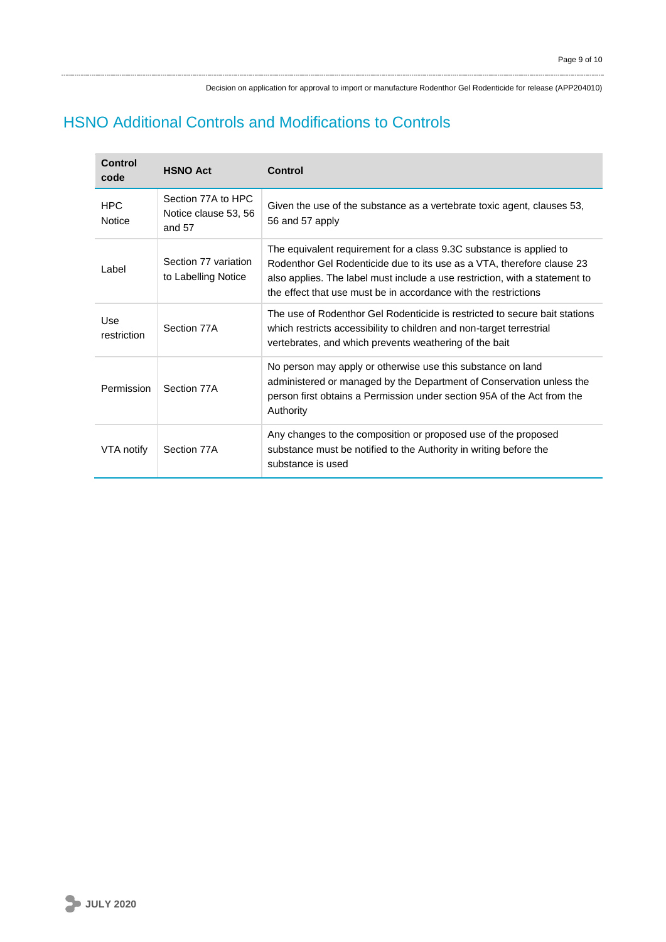### HSNO Additional Controls and Modifications to Controls

| Control<br>code             | <b>HSNO Act</b>                                      | Control                                                                                                                                                                                                                                                                                         |
|-----------------------------|------------------------------------------------------|-------------------------------------------------------------------------------------------------------------------------------------------------------------------------------------------------------------------------------------------------------------------------------------------------|
| <b>HPC</b><br><b>Notice</b> | Section 77A to HPC<br>Notice clause 53, 56<br>and 57 | Given the use of the substance as a vertebrate toxic agent, clauses 53,<br>56 and 57 apply                                                                                                                                                                                                      |
| Label                       | Section 77 variation<br>to Labelling Notice          | The equivalent requirement for a class 9.3C substance is applied to<br>Rodenthor Gel Rodenticide due to its use as a VTA, therefore clause 23<br>also applies. The label must include a use restriction, with a statement to<br>the effect that use must be in accordance with the restrictions |
| Use<br>restriction          | Section 77A                                          | The use of Rodenthor Gel Rodenticide is restricted to secure bait stations<br>which restricts accessibility to children and non-target terrestrial<br>vertebrates, and which prevents weathering of the bait                                                                                    |
| Permission                  | Section 77A                                          | No person may apply or otherwise use this substance on land<br>administered or managed by the Department of Conservation unless the<br>person first obtains a Permission under section 95A of the Act from the<br>Authority                                                                     |
| VTA notify                  | Section 77A                                          | Any changes to the composition or proposed use of the proposed<br>substance must be notified to the Authority in writing before the<br>substance is used                                                                                                                                        |